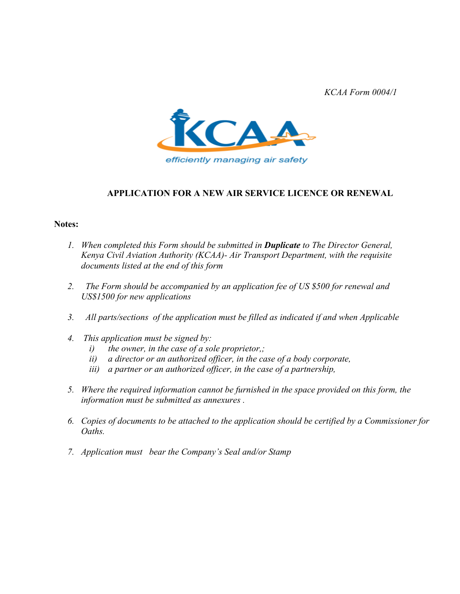*KCAA Form 0004/1*



### **APPLICATION FOR A NEW AIR SERVICE LICENCE OR RENEWAL**

#### **Notes:**

- *1. When completed this Form should be submitted in Duplicate to The Director General, Kenya Civil Aviation Authority (KCAA)- Air Transport Department, with the requisite documents listed at the end of this form*
- *2. The Form should be accompanied by an application fee of US \$500 for renewal and US\$1500 for new applications*
- *3. All parts/sections of the application must be filled as indicated if and when Applicable*
- *4. This application must be signed by:* 
	- *i) the owner, in the case of a sole proprietor,;*
	- *ii) a director or an authorized officer, in the case of a body corporate,*
	- *iii) a partner or an authorized officer, in the case of a partnership,*
- *5. Where the required information cannot be furnished in the space provided on this form, the information must be submitted as annexures .*
- *6. Copies of documents to be attached to the application should be certified by a Commissioner for Oaths.*
- *7. Application must bear the Company's Seal and/or Stamp*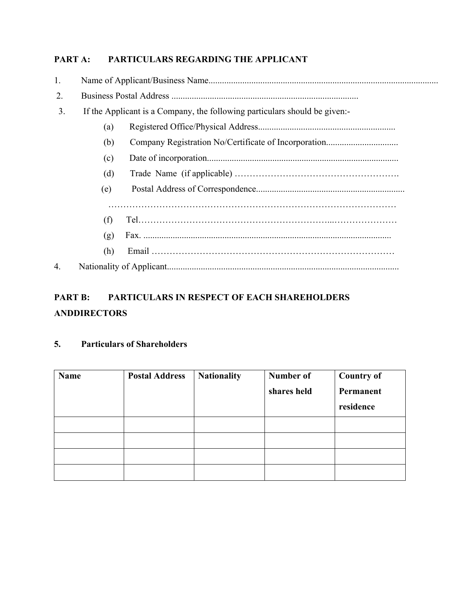# **PART A: PARTICULARS REGARDING THE APPLICANT**

| 1. |     |                                                                            |  |  |
|----|-----|----------------------------------------------------------------------------|--|--|
| 2. |     |                                                                            |  |  |
| 3. |     | If the Applicant is a Company, the following particulars should be given:- |  |  |
|    | (a) |                                                                            |  |  |
|    | (b) |                                                                            |  |  |
|    | (c) |                                                                            |  |  |
|    | (d) |                                                                            |  |  |
|    | (e) |                                                                            |  |  |
|    |     |                                                                            |  |  |
|    | (f) |                                                                            |  |  |
|    | (g) |                                                                            |  |  |
|    | (h) |                                                                            |  |  |
| 4. |     |                                                                            |  |  |

# **PART B: PARTICULARS IN RESPECT OF EACH SHAREHOLDERS ANDDIRECTORS**

# **5. Particulars of Shareholders**

| Name | <b>Postal Address</b> | <b>Nationality</b> | Number of<br>shares held | <b>Country of</b><br>Permanent<br>residence |
|------|-----------------------|--------------------|--------------------------|---------------------------------------------|
|      |                       |                    |                          |                                             |
|      |                       |                    |                          |                                             |
|      |                       |                    |                          |                                             |
|      |                       |                    |                          |                                             |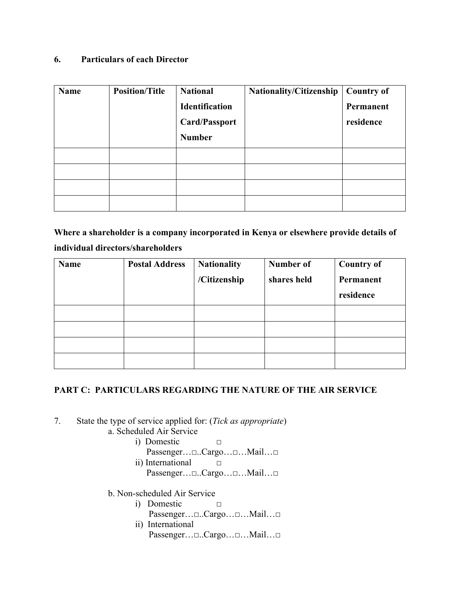## **6. Particulars of each Director**

| Name | <b>Position/Title</b> | <b>National</b><br><b>Identification</b><br><b>Card/Passport</b><br><b>Number</b> | Nationality/Citizenship | <b>Country of</b><br>Permanent<br>residence |
|------|-----------------------|-----------------------------------------------------------------------------------|-------------------------|---------------------------------------------|
|      |                       |                                                                                   |                         |                                             |
|      |                       |                                                                                   |                         |                                             |
|      |                       |                                                                                   |                         |                                             |
|      |                       |                                                                                   |                         |                                             |

**Where a shareholder is a company incorporated in Kenya or elsewhere provide details of individual directors/shareholders** 

| Name | <b>Postal Address</b> | <b>Nationality</b><br>/Citizenship | Number of<br>shares held | <b>Country of</b><br>Permanent<br>residence |
|------|-----------------------|------------------------------------|--------------------------|---------------------------------------------|
|      |                       |                                    |                          |                                             |
|      |                       |                                    |                          |                                             |
|      |                       |                                    |                          |                                             |
|      |                       |                                    |                          |                                             |

### **PART C: PARTICULARS REGARDING THE NATURE OF THE AIR SERVICE**

- 7. State the type of service applied for: (*Tick as appropriate*)
	- a. Scheduled Air Service
		- i) Domestic □
		- Passenger…□..Cargo…□…Mail…□ ii) International  $□$
		- Passenger…□..Cargo…□…Mail…□
	- b. Non-scheduled Air Service
		- i) Domestic □ Passenger…□..Cargo…□…Mail…□
		- ii) International Passenger…□..Cargo…□…Mail…□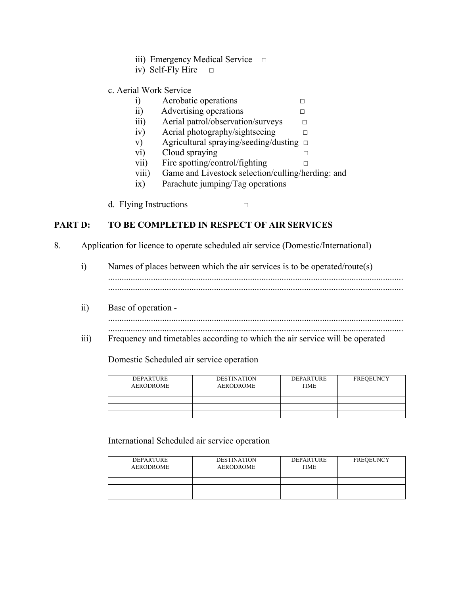- iii) Emergency Medical Service  $□$
- iv) Self-Fly Hire  $\Box$

### c. Aerial Work Service

- i) Acrobatic operations □
- ii) Advertising operations □
- iii) Aerial patrol/observation/surveys  $\Box$
- iv) Aerial photography/sightseeing □
- v) Agricultural spraying/seeding/dusting □
- vi) Cloud spraying □
- vii) Fire spotting/control/fighting  $\Box$
- viii) Game and Livestock selection/culling/herding: and
- ix) Parachute jumping/Tag operations
- d. Flying Instructions  $\Box$

# **PART D: TO BE COMPLETED IN RESPECT OF AIR SERVICES**

- 8. Application for licence to operate scheduled air service (Domestic/International)
	- i) Names of places between which the air services is to be operated/route(s) ...................................................................................................................................
	- ii) Base of operation
		- ................................................................................................................................... ...................................................................................................................................
	- iii) Frequency and timetables according to which the air service will be operated

#### Domestic Scheduled air service operation

| <b>DEPARTURE</b><br><b>AERODROME</b> | <b>DESTINATION</b><br><b>AERODROME</b> | <b>DEPARTURE</b><br><b>TIME</b> | <b>FREQEUNCY</b> |
|--------------------------------------|----------------------------------------|---------------------------------|------------------|
|                                      |                                        |                                 |                  |
|                                      |                                        |                                 |                  |
|                                      |                                        |                                 |                  |

International Scheduled air service operation

| <b>DEPARTURE</b><br><b>AERODROME</b> | <b>DESTINATION</b><br><b>AERODROME</b> | <b>DEPARTURE</b><br><b>TIME</b> | <b>FREQEUNCY</b> |
|--------------------------------------|----------------------------------------|---------------------------------|------------------|
|                                      |                                        |                                 |                  |
|                                      |                                        |                                 |                  |
|                                      |                                        |                                 |                  |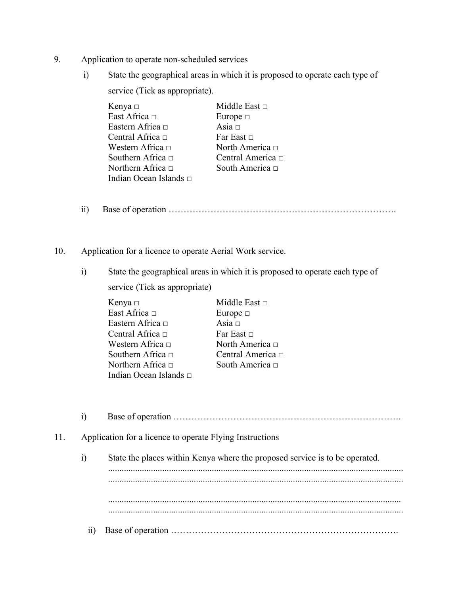- 9. Application to operate non-scheduled services
	- i) State the geographical areas in which it is proposed to operate each type of service (Tick as appropriate).

| Kenya □                | Middle East $\Box$     |
|------------------------|------------------------|
| East Africa $\Box$     | Europe $\Box$          |
| Eastern Africa □       | Asia $\Box$            |
| Central Africa $\Box$  | Far East $\Box$        |
| Western Africa $\Box$  | North America $\Box$   |
| Southern Africa $\Box$ | Central America $\Box$ |
| Northern Africa □      | South America $\Box$   |
| Indian Ocean Islands □ |                        |

- ii) Base of operation ………………………………………………………………….
- 10. Application for a licence to operate Aerial Work service.
	- i) State the geographical areas in which it is proposed to operate each type of service (Tick as appropriate)

| Kenya □                | Middle East $\Box$     |
|------------------------|------------------------|
| East Africa □          | Europe $\Box$          |
| Eastern Africa □       | Asia $\Box$            |
| Central Africa □       | Far East $\Box$        |
| Western Africa □       | North America $\Box$   |
| Southern Africa □      | Central America $\Box$ |
| Northern Africa □      | South America □        |
| Indian Ocean Islands □ |                        |

i) Base of operation …………………………………………………………………. 11. Application for a licence to operate Flying Instructions i) State the places within Kenya where the proposed service is to be operated. ................................................................................................................................... ................................................................................................................................... .................................................................................................................................. ................................................................................................................................... ii) Base of operation ………………………………………………………………….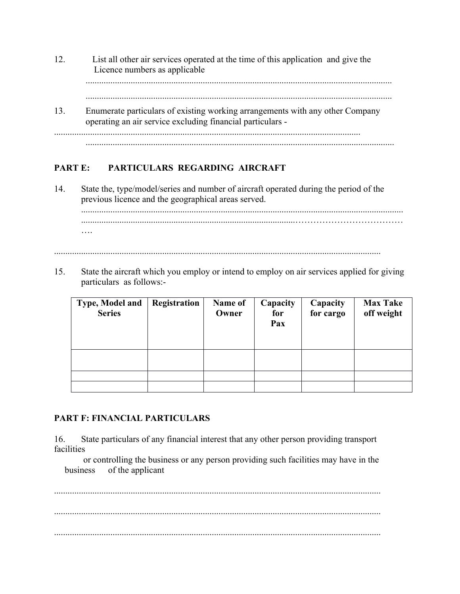12. List all other air services operated at the time of this application and give the Licence numbers as applicable ........................................................................................................................................ ........................................................................................................................................ 13. Enumerate particulars of existing working arrangements with any other Company operating an air service excluding financial particulars - ........................................................................................................................................ .........................................................................................................................................

# **PART E: PARTICULARS REGARDING AIRCRAFT**

14. State the, type/model/series and number of aircraft operated during the period of the previous licence and the geographical areas served.

............................................................................................................................................... ...............................................................................................……………………………… ….

.................................................................................................................................................

15. State the aircraft which you employ or intend to employ on air services applied for giving particulars as follows:-

| Type, Model and<br><b>Series</b> | Registration | Name of<br>Owner | Capacity<br>for<br>Pax | Capacity<br>for cargo | <b>Max Take</b><br>off weight |
|----------------------------------|--------------|------------------|------------------------|-----------------------|-------------------------------|
|                                  |              |                  |                        |                       |                               |
|                                  |              |                  |                        |                       |                               |
|                                  |              |                  |                        |                       |                               |

#### **PART F: FINANCIAL PARTICULARS**

16. State particulars of any financial interest that any other person providing transport facilities

or controlling the business or any person providing such facilities may have in the business of the applicant

................................................................................................................................................. ................................................................................................................................................. .................................................................................................................................................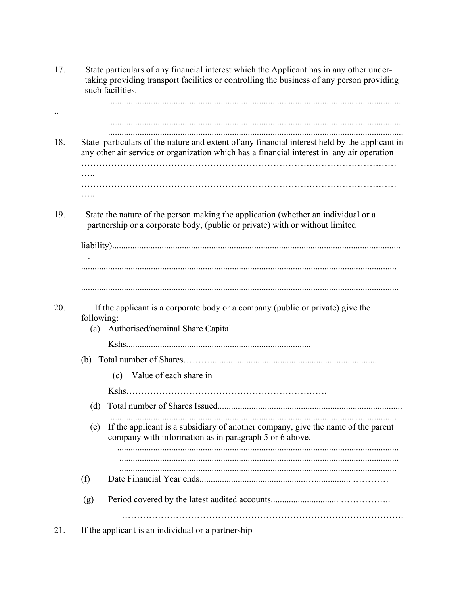17. State particulars of any financial interest which the Applicant has in any other under taking providing transport facilities or controlling the business of any person providing such facilities. ................................................................................................................................... .. ................................................................................................................................... ................................................................................................................................... 18. State particulars of the nature and extent of any financial interest held by the applicant in any other air service or organization which has a financial interest in any air operation …………………………………………………………………………………………… …. …………………………………………………………………………………………… ….. 19. State the nature of the person making the application (whether an individual or a partnership or a corporate body, (public or private) with or without limited liability)................................................................................................................................ . ............................................................................................................................................ ............................................................................................................................................. 20. If the applicant is a corporate body or a company (public or private) give the following: (a) Authorised/nominal Share Capital Kshs.................................................................................. (b) Total number of Shares……….......................................................................... (c) Value of each share in Kshs…………………………………………………………. (d) Total number of Shares Issued.................................................................................. ............................................................................................................................... (e) If the applicant is a subsidiary of another company, give the name of the parent company with information as in paragraph 5 or 6 above. ............................................................................................................................. ............................................................................................................................ ........................................................................................................................... (f) Date Financial Year ends...............................................…................ ………… (g) Period covered by the latest audited accounts.............................. …………….. …………………………………………………………………………………. 21. If the applicant is an individual or a partnership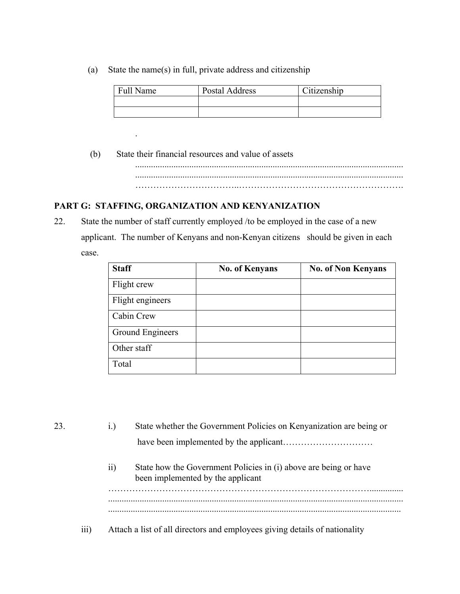(a) State the name(s) in full, private address and citizenship

| <b>Full Name</b> | Postal Address | Citizenship |
|------------------|----------------|-------------|
|                  |                |             |
|                  |                |             |

 (b) State their financial resources and value of assets ....................................................................................................................... ....................................................................................................................... ……………………………..……………………………………………….

### **PART G: STAFFING, ORGANIZATION AND KENYANIZATION**

.

22. State the number of staff currently employed /to be employed in the case of a new applicant. The number of Kenyans and non-Kenyan citizens should be given in each case.

| <b>Staff</b>     | <b>No. of Kenyans</b> | <b>No. of Non Kenyans</b> |
|------------------|-----------------------|---------------------------|
| Flight crew      |                       |                           |
| Flight engineers |                       |                           |
| Cabin Crew       |                       |                           |
| Ground Engineers |                       |                           |
| Other staff      |                       |                           |
| Total            |                       |                           |

23. i.) State whether the Government Policies on Kenyanization are being or have been implemented by the applicant………………………… ii) State how the Government Policies in (i) above are being or have been implemented by the applicant ……………………………………………………………………………............... ................................................................................................................................... .................................................................................................................................. iii) Attach a list of all directors and employees giving details of nationality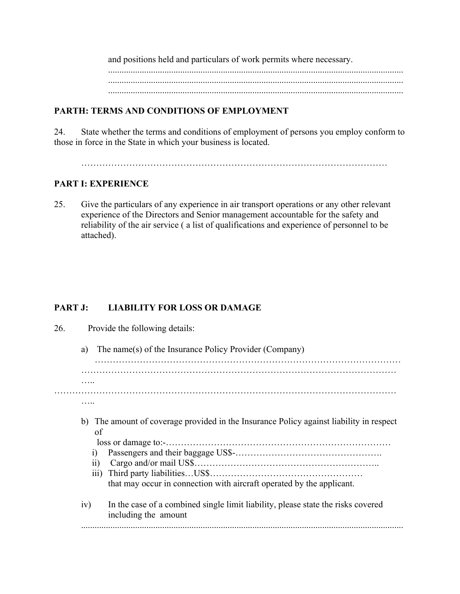and positions held and particulars of work permits where necessary. ................................................................................................................................... ................................................................................................................................... ...................................................................................................................................

### **PARTH: TERMS AND CONDITIONS OF EMPLOYMENT**

24. State whether the terms and conditions of employment of persons you employ conform to those in force in the State in which your business is located.

…………………………………………………………………………………………

### **PART I: EXPERIENCE**

25. Give the particulars of any experience in air transport operations or any other relevant experience of the Directors and Senior management accountable for the safety and reliability of the air service ( a list of qualifications and experience of personnel to be attached).

### **PART J: LIABILITY FOR LOSS OR DAMAGE**

| 26. |                    | Provide the following details:                                                                           |
|-----|--------------------|----------------------------------------------------------------------------------------------------------|
|     | a)                 | The name(s) of the Insurance Policy Provider (Company)                                                   |
|     |                    |                                                                                                          |
|     |                    |                                                                                                          |
|     |                    |                                                                                                          |
|     |                    |                                                                                                          |
|     |                    |                                                                                                          |
|     | of                 | b) The amount of coverage provided in the Insurance Policy against liability in respect                  |
|     |                    |                                                                                                          |
|     | 1)                 |                                                                                                          |
|     | 11)                |                                                                                                          |
|     | $\overline{111}$ ) |                                                                                                          |
|     |                    | that may occur in connection with aircraft operated by the applicant.                                    |
|     | iv)                | In the case of a combined single limit liability, please state the risks covered<br>including the amount |
|     |                    |                                                                                                          |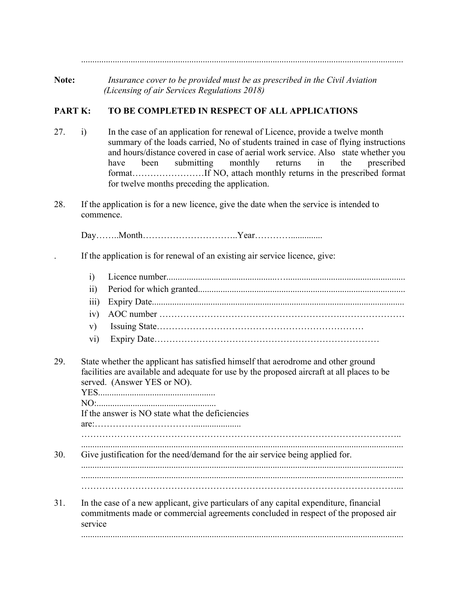...............................................................................................................................................

**Note:** *Insurance cover to be provided must be as prescribed in the Civil Aviation (Licensing of air Services Regulations 2018)*

### **PART K: TO BE COMPLETED IN RESPECT OF ALL APPLICATIONS**

- 27. i) In the case of an application for renewal of Licence, provide a twelve month summary of the loads carried, No of students trained in case of flying instructions and hours/distance covered in case of aerial work service. Also state whether you have been submitting monthly returns in the prescribed format……………………If NO, attach monthly returns in the prescribed format for twelve months preceding the application.
- 28. If the application is for a new licence, give the date when the service is intended to commence.

Day……..Month…………………………..Year…………..............

. If the application is for renewal of an existing air service licence, give:

- i) Licence number.................................................….....................................................
- ii) Period for which granted............................................................................................
- iii) Expiry Date................................................................................................................
- iv) AOC number …………………………………………………….…………………
- v) Issuing State……………………………………………………………
- vi) Expiry Date…………………………………………………………………
- 29. State whether the applicant has satisfied himself that aerodrome and other ground facilities are available and adequate for use by the proposed aircraft at all places to be served. (Answer YES or NO).

YES.................................................... NO:..................................................... If the answer is NO state what the deficiencies are:…………………………….....................

…………………………………………………………………………………………….. ...............................................................................................................................................

30. Give justification for the need/demand for the air service being applied for. ...............................................................................................................................................

- ............................................................................................................................................... ……………………………………………………………………………………………...
- 31. In the case of a new applicant, give particulars of any capital expenditure, financial commitments made or commercial agreements concluded in respect of the proposed air service ...............................................................................................................................................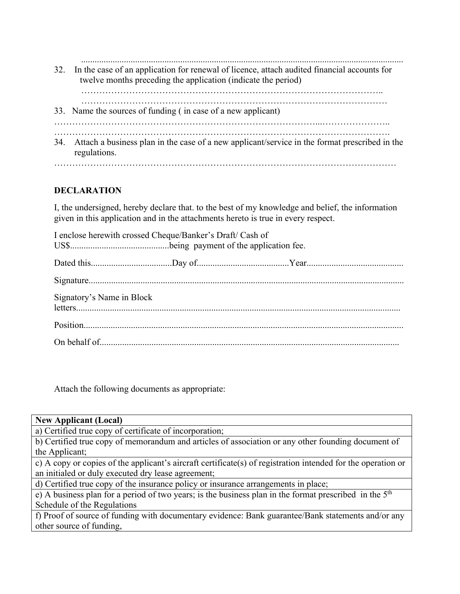............................................................................................................................................... 32. In the case of an application for renewal of licence, attach audited financial accounts for twelve months preceding the application (indicate the period) ……………………………………………………………………………………….. ………………………………………………………………………………………… 33. Name the sources of funding ( in case of a new applicant) ……………………………………………………………………………...………………….. …………………………………………………………………………………………………. 34. Attach a business plan in the case of a new applicant/service in the format prescribed in the regulations. ……………………………………………………………………………………………………

### **DECLARATION**

I, the undersigned, hereby declare that. to the best of my knowledge and belief, the information given in this application and in the attachments hereto is true in every respect.

| I enclose herewith crossed Cheque/Banker's Draft/ Cash of |  |  |
|-----------------------------------------------------------|--|--|
|                                                           |  |  |
|                                                           |  |  |
| Signatory's Name in Block                                 |  |  |
|                                                           |  |  |
|                                                           |  |  |

Attach the following documents as appropriate:

**New Applicant (Local)**

a) Certified true copy of certificate of incorporation;

b) Certified true copy of memorandum and articles of association or any other founding document of the Applicant;

c) A copy or copies of the applicant's aircraft certificate(s) of registration intended for the operation or an initialed or duly executed dry lease agreement;

d) Certified true copy of the insurance policy or insurance arrangements in place;

e) A business plan for a period of two years; is the business plan in the format prescribed in the 5th Schedule of the Regulations

f) Proof of source of funding with documentary evidence: Bank guarantee/Bank statements and/or any other source of funding,